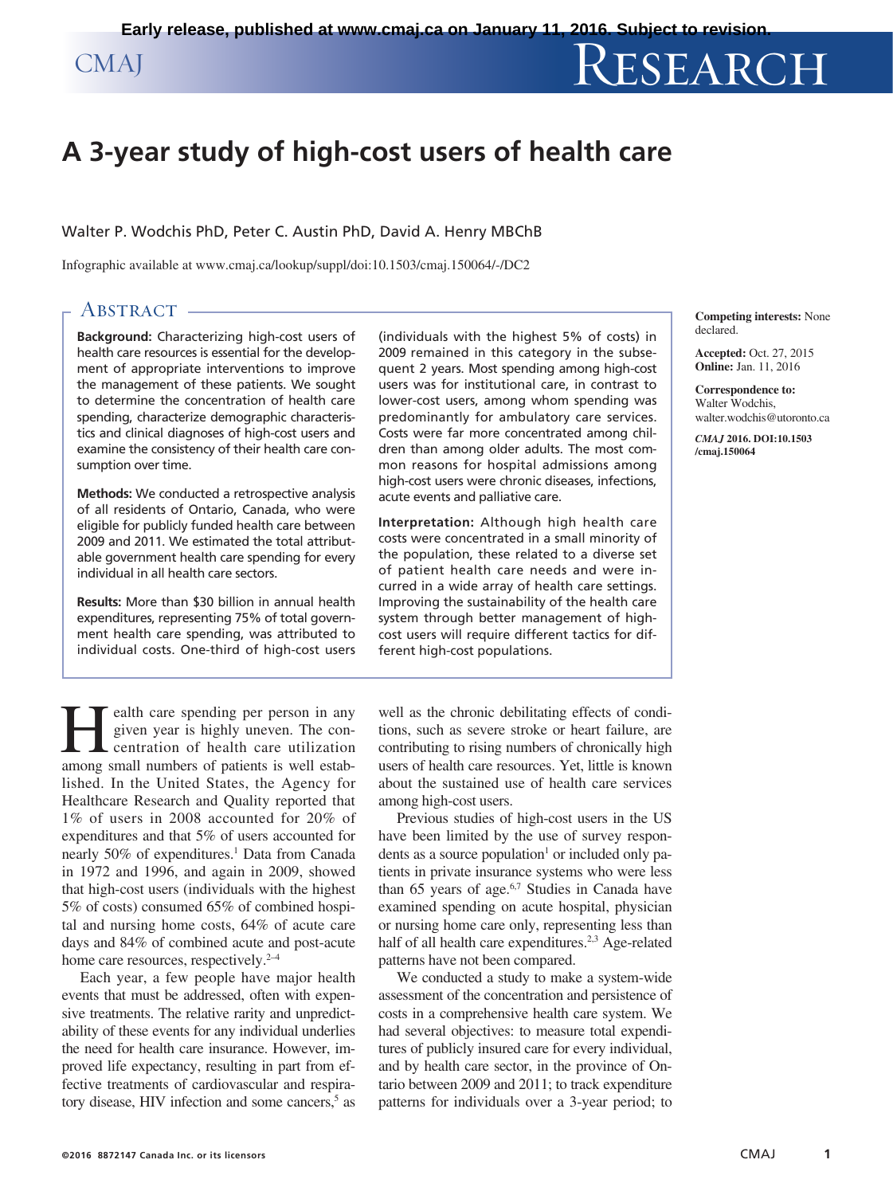# CMAJ RESEARCH

## **A 3-year study of high-cost users of health care**

Walter P. Wodchis PhD, Peter C. Austin PhD, David A. Henry MBChB

Infographic available at www.cmaj.ca/lookup/suppl/doi:10.1503/cmaj.150064/-/DC2

### ABSTRACT -

**Background:** Characterizing high-cost users of health care resources is essential for the development of appropriate interventions to improve the management of these patients. We sought to determine the concentration of health care spending, characterize demographic characteristics and clinical diagnoses of high-cost users and examine the consistency of their health care consumption over time.

**Methods:** We conducted a retrospective analysis of all residents of Ontario, Canada, who were eligible for publicly funded health care between 2009 and 2011. We estimated the total attributable government health care spending for every individual in all health care sectors.

**Results:** More than \$30 billion in annual health expenditures, representing 75% of total government health care spending, was attributed to individual costs. One-third of high-cost users (individuals with the highest 5% of costs) in 2009 remained in this category in the subsequent 2 years. Most spending among high-cost users was for institutional care, in contrast to lower-cost users, among whom spending was predominantly for ambulatory care services. Costs were far more concentrated among children than among older adults. The most common reasons for hospital admissions among high-cost users were chronic diseases, infections, acute events and palliative care.

**Interpretation:** Although high health care costs were concentrated in a small minority of the population, these related to a diverse set of patient health care needs and were incurred in a wide array of health care settings. Improving the sustainability of the health care system through better management of highcost users will require different tactics for different high-cost populations.

ealth care spending per person in any given year is highly uneven. The concentration of health care utilization among small numbers of patients is well established. In the United States, the Agency for Healthcare Research and Quality reported that 1% of users in 2008 accounted for 20% of expenditures and that 5% of users accounted for nearly 50% of expenditures.<sup>1</sup> Data from Canada in 1972 and 1996, and again in 2009, showed that high-cost users (individuals with the highest 5% of costs) consumed 65% of combined hospital and nursing home costs, 64% of acute care days and 84% of combined acute and post-acute home care resources, respectively.<sup>2-4</sup>

Each year, a few people have major health events that must be addressed, often with expensive treatments. The relative rarity and unpredictability of these events for any individual underlies the need for health care insurance. However, improved life expectancy, resulting in part from effective treatments of cardiovascular and respiratory disease, HIV infection and some cancers,<sup>5</sup> as well as the chronic debilitating effects of conditions, such as severe stroke or heart failure, are contributing to rising numbers of chronically high users of health care resources. Yet, little is known about the sustained use of health care services among high-cost users.

Previous studies of high-cost users in the US have been limited by the use of survey respondents as a source population<sup>1</sup> or included only patients in private insurance systems who were less than  $65$  years of age.<sup> $67$ </sup> Studies in Canada have examined spending on acute hospital, physician or nursing home care only, representing less than half of all health care expenditures.<sup>2,3</sup> Age-related patterns have not been compared.

We conducted a study to make a system-wide assessment of the concentration and persistence of costs in a comprehensive health care system. We had several objectives: to measure total expenditures of publicly insured care for every individual, and by health care sector, in the province of Ontario between 2009 and 2011; to track expenditure patterns for individuals over a 3-year period; to

#### **Competing interests:** None declared.

**Accepted:** Oct. 27, 2015 **Online:** Jan. 11, 2016

**Correspondence to:** Walter Wodchis, walter.wodchis@utoronto.ca

*CMAJ* **2016. DOI:10.1503 /cmaj.150064**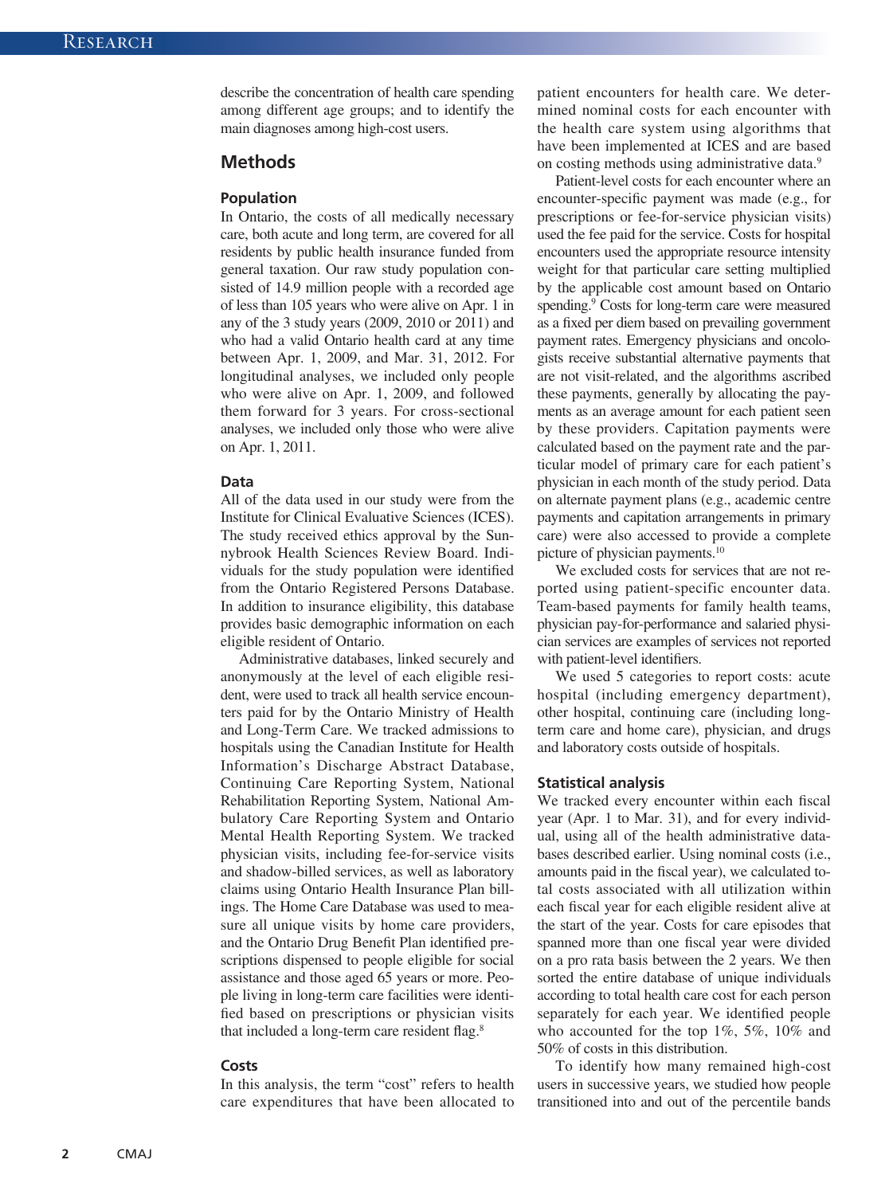describe the concentration of health care spending among different age groups; and to identify the main diagnoses among high-cost users.

#### **Methods**

#### **Population**

In Ontario, the costs of all medically necessary care, both acute and long term, are covered for all residents by public health insurance funded from general taxation. Our raw study population consisted of 14.9 million people with a recorded age of less than 105 years who were alive on Apr. 1 in any of the 3 study years (2009, 2010 or 2011) and who had a valid Ontario health card at any time between Apr. 1, 2009, and Mar. 31, 2012. For longitudinal analyses, we included only people who were alive on Apr. 1, 2009, and followed them forward for 3 years. For cross-sectional analyses, we included only those who were alive on Apr. 1, 2011.

#### **Data**

All of the data used in our study were from the Institute for Clinical Evaluative Sciences (ICES). The study received ethics approval by the Sunnybrook Health Sciences Review Board. Individuals for the study population were identified from the Ontario Registered Persons Database. In addition to insurance eligibility, this database provides basic demographic information on each eligible resident of Ontario.

Administrative databases, linked securely and anonymously at the level of each eligible resident, were used to track all health service encounters paid for by the Ontario Ministry of Health and Long-Term Care. We tracked admissions to hospitals using the Canadian Institute for Health Information's Discharge Abstract Database, Continuing Care Reporting System, National Rehabilitation Reporting System, National Ambulatory Care Reporting System and Ontario Mental Health Reporting System. We tracked physician visits, including fee-for-service visits and shadow-billed services, as well as laboratory claims using Ontario Health Insurance Plan billings. The Home Care Database was used to measure all unique visits by home care providers, and the Ontario Drug Benefit Plan identified prescriptions dispensed to people eligible for social assistance and those aged 65 years or more. People living in long-term care facilities were identified based on prescriptions or physician visits that included a long-term care resident flag.8

#### **Costs**

In this analysis, the term "cost" refers to health care expenditures that have been allocated to

patient encounters for health care. We determined nominal costs for each encounter with the health care system using algorithms that have been implemented at ICES and are based on costing methods using administrative data.9

Patient-level costs for each encounter where an encounter-specific payment was made (e.g., for prescriptions or fee-for-service physician visits) used the fee paid for the service. Costs for hospital encounters used the appropriate resource intensity weight for that particular care setting multiplied by the applicable cost amount based on Ontario spending.9 Costs for long-term care were measured as a fixed per diem based on prevailing government payment rates. Emergency physicians and oncologists receive substantial alternative payments that are not visit-related, and the algorithms ascribed these payments, generally by allocating the payments as an average amount for each patient seen by these providers. Capitation payments were calculated based on the payment rate and the particular model of primary care for each patient's physician in each month of the study period. Data on alternate payment plans (e.g., academic centre payments and capitation arrangements in primary care) were also accessed to provide a complete picture of physician payments.<sup>10</sup>

We excluded costs for services that are not reported using patient-specific encounter data. Team-based payments for family health teams, physician pay-for-performance and salaried physician services are examples of services not reported with patient-level identifiers.

We used 5 categories to report costs: acute hospital (including emergency department), other hospital, continuing care (including longterm care and home care), physician, and drugs and laboratory costs outside of hospitals.

#### **Statistical analysis**

We tracked every encounter within each fiscal year (Apr. 1 to Mar. 31), and for every individual, using all of the health administrative databases described earlier. Using nominal costs (i.e., amounts paid in the fiscal year), we calculated total costs associated with all utilization within each fiscal year for each eligible resident alive at the start of the year. Costs for care episodes that spanned more than one fiscal year were divided on a pro rata basis between the 2 years. We then sorted the entire database of unique individuals according to total health care cost for each person separately for each year. We identified people who accounted for the top 1%, 5%, 10% and 50% of costs in this distribution.

To identify how many remained high-cost users in successive years, we studied how people transitioned into and out of the percentile bands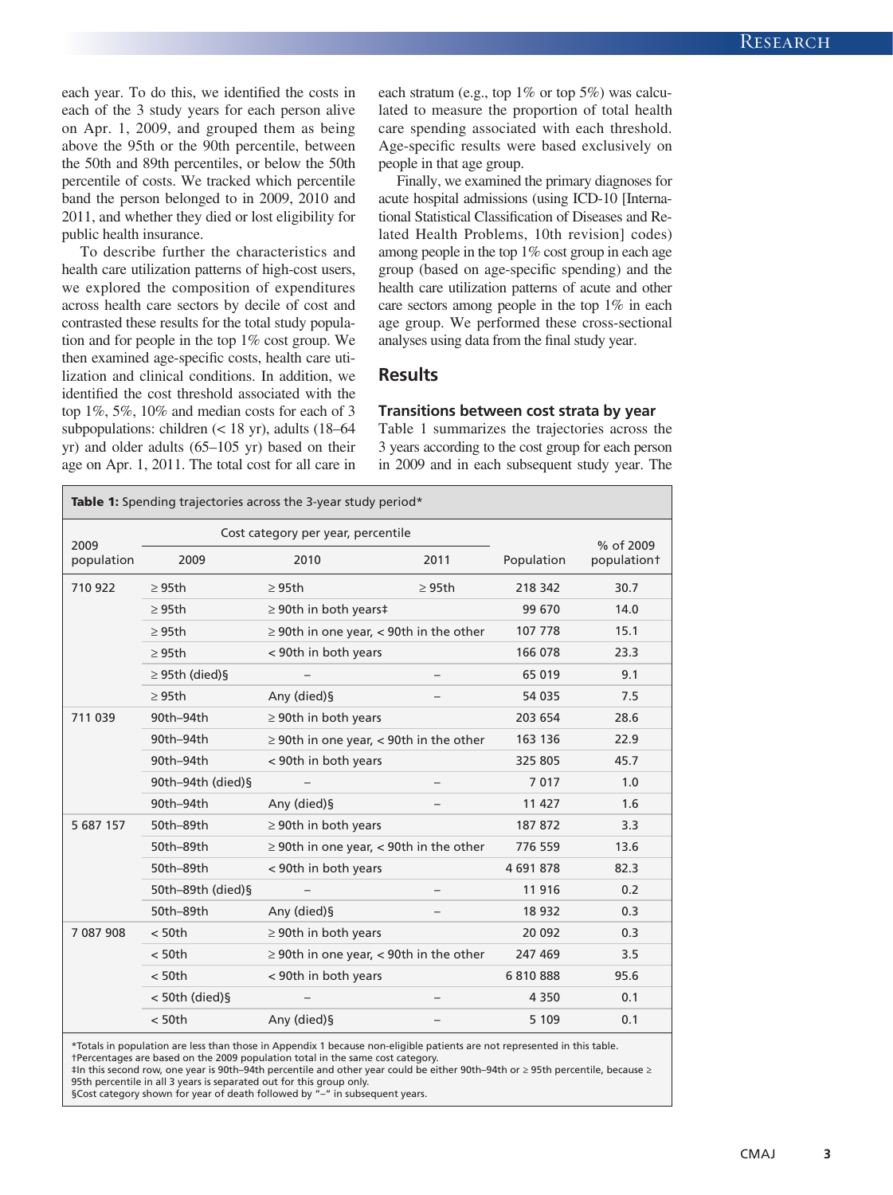each year. To do this, we identified the costs in each of the 3 study years for each person alive on Apr. 1, 2009, and grouped them as being above the 95th or the 90th percentile, between the 50th and 89th percentiles, or below the 50th percentile of costs. We tracked which percentile band the person belonged to in 2009, 2010 and 2011, and whether they died or lost eligibility for public health insurance.

To describe further the characteristics and health care utilization patterns of high-cost users, we explored the composition of expenditures across health care sectors by decile of cost and contrasted these results for the total study population and for people in the top 1% cost group. We then examined age-specific costs, health care utilization and clinical conditions. In addition, we identified the cost threshold associated with the top 1%, 5%, 10% and median costs for each of 3 subpopulations: children (< 18 yr), adults (18–64 yr) and older adults (65–105 yr) based on their age on Apr. 1, 2011. The total cost for all care in each stratum (e.g., top 1% or top 5%) was calculated to measure the proportion of total health care spending associated with each threshold. Age-specific results were based exclusively on people in that age group.

Finally, we examined the primary diagnoses for acute hospital admissions (using ICD-10 [International Statistical Classification of Diseases and Related Health Problems, 10th revision] codes) among people in the top 1% cost group in each age group (based on age-specific spending) and the health care utilization patterns of acute and other care sectors among people in the top 1% in each age group. We performed these cross-sectional analyses using data from the final study year.

#### **Results**

#### **Transitions between cost strata by year**

Table 1 summarizes the trajectories across the 3 years according to the cost group for each person in 2009 and in each subsequent study year. The

|                    | Cost category per year, percentile |                                              |                          |            |                          |
|--------------------|------------------------------------|----------------------------------------------|--------------------------|------------|--------------------------|
| 2009<br>population | 2009                               | 2010                                         | 2011                     | Population | % of 2009<br>populationt |
| 710 922            | $\geq$ 95th                        | $\geq$ 95th                                  | $\geq$ 95th              | 218 342    | 30.7                     |
|                    | $\geq$ 95th                        | $\geq$ 90th in both years‡                   |                          | 99 670     | 14.0                     |
|                    | $\geq$ 95th                        | $\geq$ 90th in one year, < 90th in the other |                          | 107 778    | 15.1                     |
|                    | $\geq$ 95th                        | < 90th in both years                         |                          | 166 078    | 23.3                     |
|                    | $\geq$ 95th (died)§                |                                              | $\overline{\phantom{0}}$ | 65 019     | 9.1                      |
|                    | $\geq$ 95th                        | Any (died)§                                  |                          | 54 035     | 7.5                      |
| 711 039            | 90th-94th                          | $\geq$ 90th in both years                    |                          | 203 654    | 28.6                     |
|                    | 90th-94th                          | $\geq$ 90th in one year, < 90th in the other |                          | 163 136    | 22.9                     |
|                    | 90th-94th                          | < 90th in both years                         |                          | 325 805    | 45.7                     |
|                    | 90th-94th (died)§                  |                                              |                          | 7 0 1 7    | 1.0                      |
|                    | 90th-94th                          | Any (died)§                                  |                          | 11 427     | 1.6                      |
| 5 687 157          | 50th-89th                          | $\geq$ 90th in both years                    |                          | 187 872    | 3.3                      |
|                    | 50th-89th                          | $\geq$ 90th in one year, < 90th in the other |                          | 776 559    | 13.6                     |
|                    | 50th-89th                          | < 90th in both years                         |                          | 4 691 878  | 82.3                     |
|                    | 50th-89th (died)§                  |                                              |                          | 11 916     | 0.2                      |
|                    | 50th-89th                          | Any (died)§                                  |                          | 18 9 32    | 0.3                      |
| 7 087 908          | < 50th                             | $\geq$ 90th in both years                    |                          | 20 092     | 0.3                      |
|                    | < 50th                             | $\geq$ 90th in one year, < 90th in the other |                          | 247 469    | 3.5                      |
|                    | < 50th                             | < 90th in both years                         |                          | 6810888    | 95.6                     |
|                    | < 50th (died)§                     |                                              |                          | 4 3 5 0    | 0.1                      |
|                    | < 50th                             | Any (died)§                                  |                          | 5 1 0 9    | 0.1                      |

†Percentages are based on the 2009 population total in the same cost category.

‡In this second row, one year is 90th–94th percentile and other year could be either 90th–94th or ≥ 95th percentile, because ≥ 95th percentile in all 3 years is separated out for this group only.

§Cost category shown for year of death followed by "–" in subsequent years.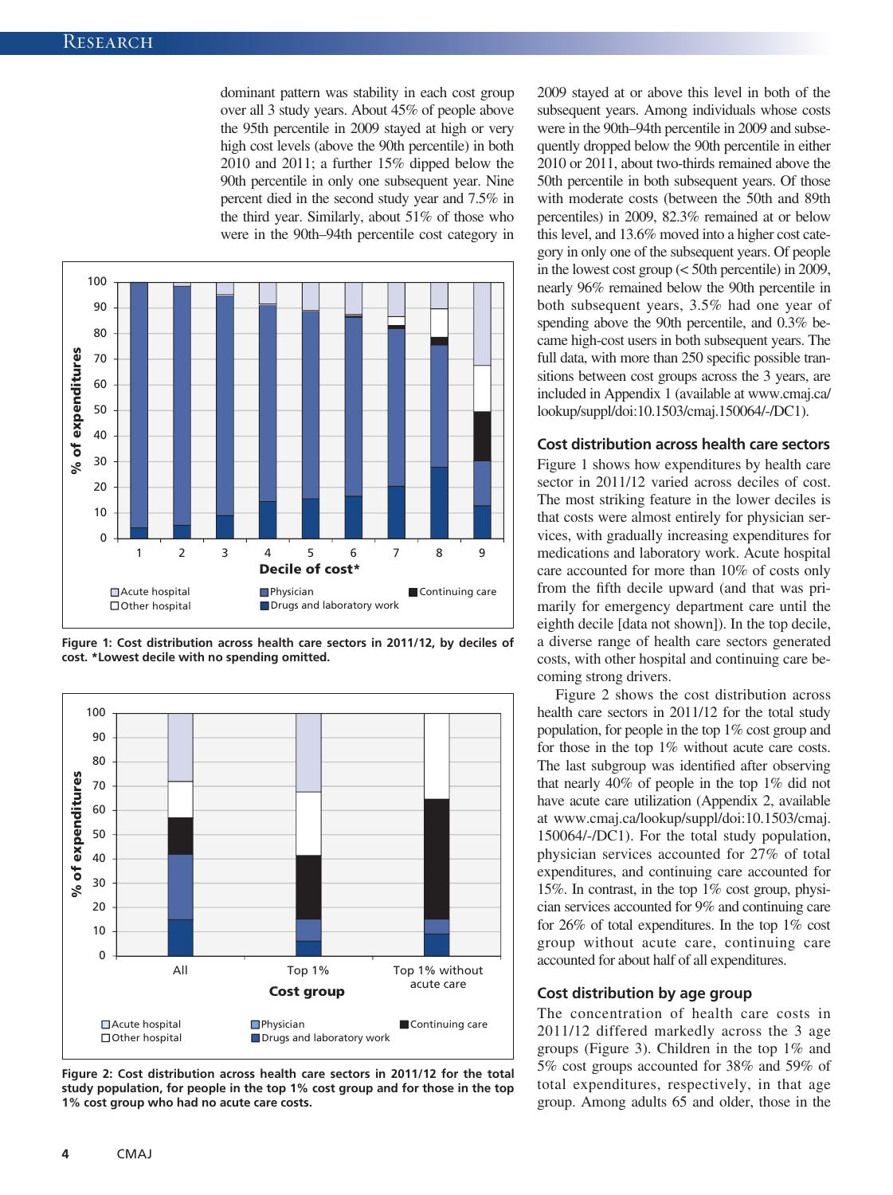dominant pattern was stability in each cost group over all 3 study years. About 45% of people above the 95th percentile in 2009 stayed at high or very high cost levels (above the 90th percentile) in both 2010 and 2011; a further 15% dipped below the 90th percentile in only one subsequent year. Nine percent died in the second study year and 7.5% in the third year. Similarly, about 51% of those who were in the 90th–94th percentile cost category in



**Figure 1: Cost distribution across health care sectors in 2011/12, by deciles of cost. \*Lowest decile with no spending omitted.**



**Figure 2: Cost distribution across health care sectors in 2011/12 for the total study population, for people in the top 1% cost group and for those in the top 1% cost group who had no acute care costs.**

2009 stayed at or above this level in both of the subsequent years. Among individuals whose costs were in the 90th–94th percentile in 2009 and subsequently dropped below the 90th percentile in either 2010 or 2011, about two-thirds remained above the 50th percentile in both subsequent years. Of those with moderate costs (between the 50th and 89th percentiles) in 2009, 82.3% remained at or below this level, and 13.6% moved into a higher cost category in only one of the subsequent years. Of people in the lowest cost group (< 50th percentile) in 2009, nearly 96% remained below the 90th percentile in both subsequent years, 3.5% had one year of spending above the 90th percentile, and 0.3% became high-cost users in both subsequent years. The full data, with more than 250 specific possible transitions between cost groups across the 3 years, are included in Appendix 1 (available at [www.cmaj.ca/](http://www.cmaj.ca/lookup/suppl/doi:10.1503/cmaj.150064/-/DC1) [lookup/suppl/doi:10.1503/cmaj.150064/-/DC1\)](http://www.cmaj.ca/lookup/suppl/doi:10.1503/cmaj.150064/-/DC1).

#### **Cost distribution across health care sectors**

Figure 1 shows how expenditures by health care sector in 2011/12 varied across deciles of cost. The most striking feature in the lower deciles is that costs were almost entirely for physician services, with gradually increasing expenditures for medications and laboratory work. Acute hospital care accounted for more than 10% of costs only from the fifth decile upward (and that was primarily for emergency department care until the eighth decile [data not shown]). In the top decile, a diverse range of health care sectors generated costs, with other hospital and continuing care becoming strong drivers.

Figure 2 shows the cost distribution across health care sectors in 2011/12 for the total study population, for people in the top 1% cost group and for those in the top 1% without acute care costs. The last subgroup was identified after observing that nearly 40% of people in the top 1% did not have acute care utilization (Appendix 2, available at [www.cmaj.ca/lookup/suppl/doi:10.1503/cmaj.](http://www.cmaj.ca/lookup/suppl/doi:10.1503/cmaj.150064/-/DC1) [150064/-/DC1](http://www.cmaj.ca/lookup/suppl/doi:10.1503/cmaj.150064/-/DC1)). For the total study population, physician services accounted for 27% of total expenditures, and continuing care accounted for 15%. In contrast, in the top 1% cost group, physician services accounted for 9% and continuing care for 26% of total expenditures. In the top 1% cost group without acute care, continuing care accounted for about half of all expenditures.

#### **Cost distribution by age group**

The concentration of health care costs in 2011/12 differed markedly across the 3 age groups (Figure 3). Children in the top 1% and 5% cost groups accounted for 38% and 59% of total expenditures, respectively, in that age group. Among adults 65 and older, those in the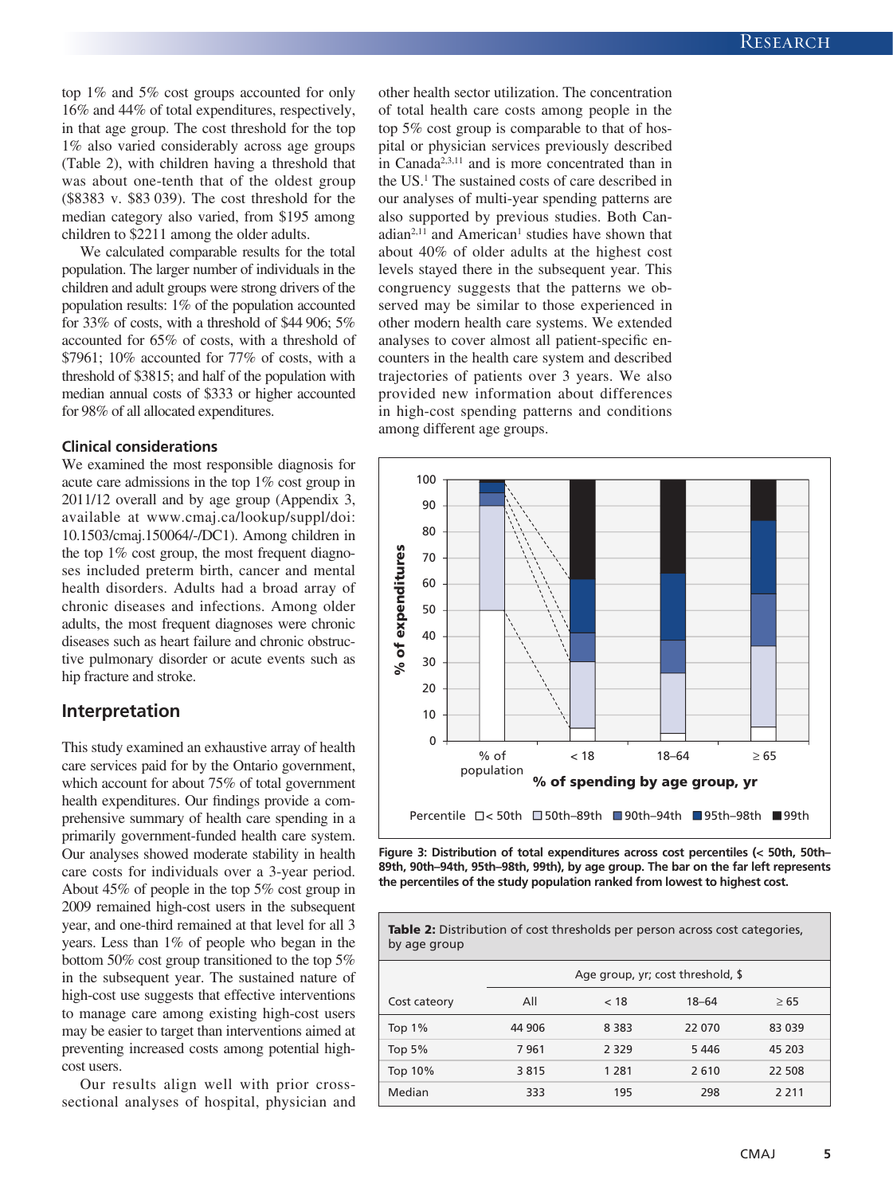top 1% and 5% cost groups accounted for only 16% and 44% of total expenditures, respectively, in that age group. The cost threshold for the top 1% also varied considerably across age groups (Table 2), with children having a threshold that was about one-tenth that of the oldest group (\$8383 v. \$83 039). The cost threshold for the median category also varied, from \$195 among children to \$2211 among the older adults.

We calculated comparable results for the total population. The larger number of individuals in the children and adult groups were strong drivers of the population results: 1% of the population accounted for 33% of costs, with a threshold of \$44 906;  $5\%$ accounted for 65% of costs, with a threshold of \$7961; 10% accounted for 77% of costs, with a threshold of \$3815; and half of the population with median annual costs of \$333 or higher accounted for 98% of all allocated expenditures.

#### **Clinical considerations**

We examined the most responsible diagnosis for acute care admissions in the top 1% cost group in 2011/12 overall and by age group (Appendix 3, available at [www.cmaj.ca/lookup/suppl/doi:](http://www.cmaj.ca/lookup/suppl/doi:10.1503/cmaj.150064/-/DC1) [10.1503/cmaj.150064/-/DC1](http://www.cmaj.ca/lookup/suppl/doi:10.1503/cmaj.150064/-/DC1)). Among children in the top 1% cost group, the most frequent diagnoses included preterm birth, cancer and mental health disorders. Adults had a broad array of chronic diseases and infections. Among older adults, the most frequent diagnoses were chronic diseases such as heart failure and chronic obstructive pulmonary disorder or acute events such as hip fracture and stroke.

#### **Interpretation**

This study examined an exhaustive array of health care services paid for by the Ontario government, which account for about 75% of total government health expenditures. Our findings provide a comprehensive summary of health care spending in a primarily government-funded health care system. Our analyses showed moderate stability in health care costs for individuals over a 3-year period. About 45% of people in the top 5% cost group in 2009 remained high-cost users in the subsequent year, and one-third remained at that level for all 3 years. Less than 1% of people who began in the bottom 50% cost group transitioned to the top 5% in the subsequent year. The sustained nature of high-cost use suggests that effective interventions to manage care among existing high-cost users may be easier to target than interventions aimed at preventing increased costs among potential highcost users.

Our results align well with prior crosssectional analyses of hospital, physician and other health sector utilization. The concentration of total health care costs among people in the top 5% cost group is comparable to that of hospital or physician services previously described in Canada2,3,11 and is more concentrated than in the US.1 The sustained costs of care described in our analyses of multi-year spending patterns are also supported by previous studies. Both Canadian<sup>2,11</sup> and American<sup>1</sup> studies have shown that about 40% of older adults at the highest cost levels stayed there in the subsequent year. This congruency suggests that the patterns we observed may be similar to those experienced in other modern health care systems. We extended analyses to cover almost all patient-specific encounters in the health care system and described trajectories of patients over 3 years. We also provided new information about differences in high-cost spending patterns and conditions among different age groups.



**Figure 3: Distribution of total expenditures across cost percentiles (< 50th, 50th– 89th, 90th–94th, 95th–98th, 99th), by age group. The bar on the far left represents the percentiles of the study population ranked from lowest to highest cost.**

|              | <b>Table 2:</b> Distribution of cost thresholds per person across cost categories, |  |
|--------------|------------------------------------------------------------------------------------|--|
| by age group |                                                                                    |  |
|              |                                                                                    |  |

|              | Age group, yr; cost threshold, \$ |         |           |           |  |
|--------------|-----------------------------------|---------|-----------|-----------|--|
| Cost cateory | All                               | < 18    | $18 - 64$ | $\geq 65$ |  |
| Top $1\%$    | 44 906                            | 8 3 8 3 | 22 070    | 83 039    |  |
| Top $5%$     | 7961                              | 2 3 2 9 | 5446      | 45 203    |  |
| Top 10%      | 3815                              | 1 2 8 1 | 2610      | 22 508    |  |
| Median       | 333                               | 195     | 298       | 2 2 1 1   |  |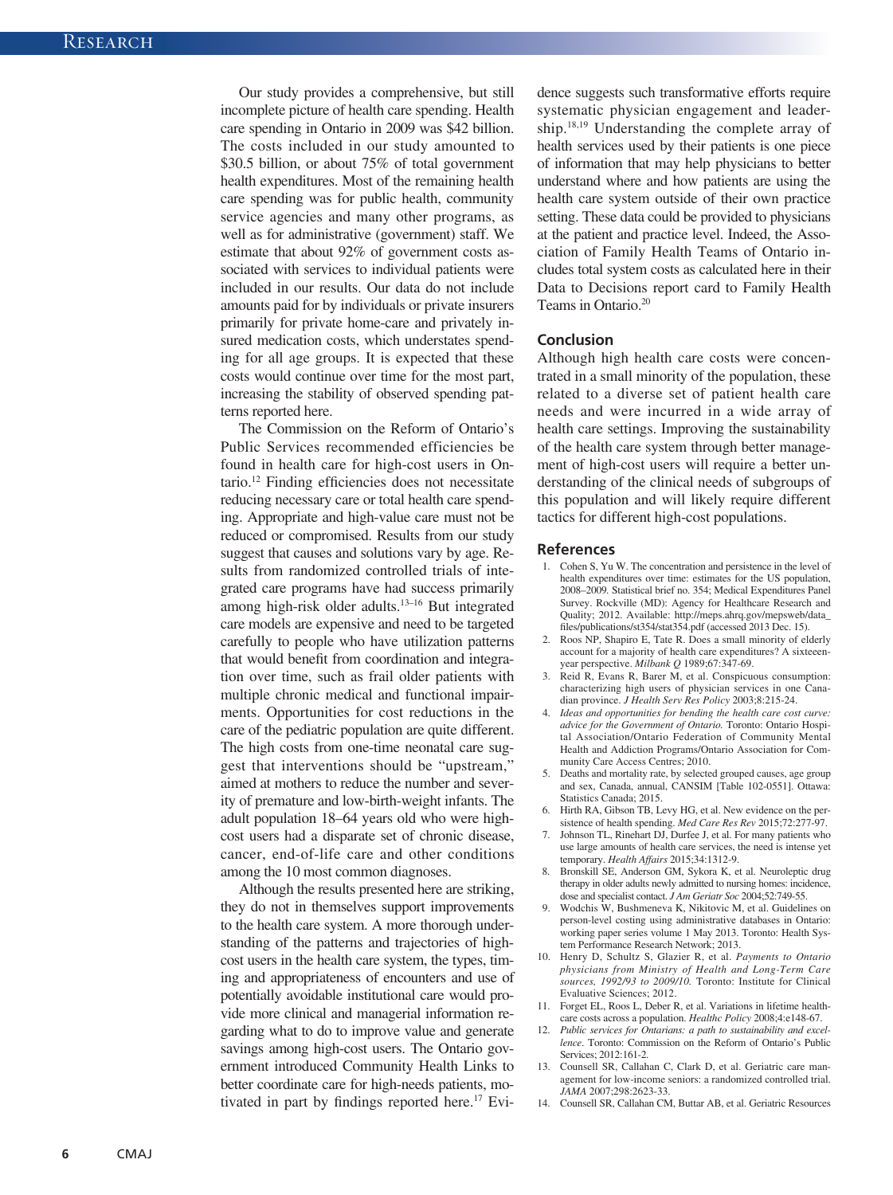Our study provides a comprehensive, but still incomplete picture of health care spending. Health care spending in Ontario in 2009 was \$42 billion. The costs included in our study amounted to \$30.5 billion, or about 75% of total government health expenditures. Most of the remaining health care spending was for public health, community service agencies and many other programs, as well as for administrative (government) staff. We estimate that about 92% of government costs associated with services to individual patients were included in our results. Our data do not include amounts paid for by individuals or private insurers primarily for private home-care and privately insured medication costs, which understates spending for all age groups. It is expected that these costs would continue over time for the most part, increasing the stability of observed spending patterns reported here.

The Commission on the Reform of Ontario's Public Services recommended efficiencies be found in health care for high-cost users in Ontario.12 Finding efficiencies does not necessitate reducing necessary care or total health care spending. Appropriate and high-value care must not be reduced or compromised. Results from our study suggest that causes and solutions vary by age. Results from randomized controlled trials of integrated care programs have had success primarily among high-risk older adults.13–16 But integrated care models are expensive and need to be targeted carefully to people who have utilization patterns that would benefit from coordination and integration over time, such as frail older patients with multiple chronic medical and functional impairments. Opportunities for cost reductions in the care of the pediatric population are quite different. The high costs from one-time neonatal care suggest that interventions should be "upstream," aimed at mothers to reduce the number and severity of premature and low-birth-weight infants. The adult population 18–64 years old who were highcost users had a disparate set of chronic disease, cancer, end-of-life care and other conditions among the 10 most common diagnoses.

Although the results presented here are striking, they do not in themselves support improvements to the health care system. A more thorough understanding of the patterns and trajectories of highcost users in the health care system, the types, timing and appropriateness of encounters and use of potentially avoidable institutional care would provide more clinical and managerial information regarding what to do to improve value and generate savings among high-cost users. The Ontario government introduced Community Health Links to better coordinate care for high-needs patients, motivated in part by findings reported here.<sup>17</sup> Evidence suggests such transformative efforts require systematic physician engagement and leadership.18,19 Understanding the complete array of health services used by their patients is one piece of information that may help physicians to better understand where and how patients are using the health care system outside of their own practice setting. These data could be provided to physicians at the patient and practice level. Indeed, the Association of Family Health Teams of Ontario includes total system costs as calculated here in their Data to Decisions report card to Family Health Teams in Ontario.<sup>20</sup>

#### **Conclusion**

Although high health care costs were concentrated in a small minority of the population, these related to a diverse set of patient health care needs and were incurred in a wide array of health care settings. Improving the sustainability of the health care system through better management of high-cost users will require a better understanding of the clinical needs of subgroups of this population and will likely require different tactics for different high-cost populations.

#### **References**

- 1. Cohen S, Yu W. The concentration and persistence in the level of health expenditures over time: estimates for the US population, 2008–2009*.* Statistical brief no. 354; Medical Expenditures Panel Survey. Rockville (MD): Agency for Healthcare Research and Quality; 2012. Available: http://meps.ahrq.gov/mepsweb/data\_ files/publications/st354/stat354.pdf (accessed 2013 Dec. 15).
- 2. Roos NP, Shapiro E, Tate R. Does a small minority of elderly account for a majority of health care expenditures? A sixteeenyear perspective. *Milbank Q* 1989;67:347-69.
- Reid R, Evans R, Barer M, et al. Conspicuous consumption: characterizing high users of physician services in one Canadian province. *J Health Serv Res Policy* 2003;8:215-24.
- 4. *Ideas and opportunities for bending the health care cost curve: advice for the Government of Ontario.* Toronto: Ontario Hospital Association/Ontario Federation of Community Mental Health and Addiction Programs/Ontario Association for Community Care Access Centres; 2010.
- 5. Deaths and mortality rate, by selected grouped causes, age group and sex, Canada, annual, CANSIM [Table 102-0551]. Ottawa: Statistics Canada; 2015.
- 6. Hirth RA, Gibson TB, Levy HG, et al. New evidence on the persistence of health spending. *Med Care Res Rev* 2015;72:277-97.
- Johnson TL, Rinehart DJ, Durfee J, et al. For many patients who use large amounts of health care services, the need is intense yet temporary. *Health Affairs* 2015;34:1312-9.
- 8. Bronskill SE, Anderson GM, Sykora K, et al. Neuroleptic drug therapy in older adults newly admitted to nursing homes: incidence, dose and specialist contact. *J Am Geriatr Soc* 2004;52:749-55.
- 9. Wodchis W, Bushmeneva K, Nikitovic M, et al. Guidelines on person-level costing using administrative databases in Ontario: working paper series volume 1 May 2013. Toronto: Health System Performance Research Network; 2013.
- 10. Henry D, Schultz S, Glazier R, et al. *Payments to Ontario physicians from Ministry of Health and Long-Term Care sources, 1992/93 to 2009/10.* Toronto: Institute for Clinical Evaluative Sciences; 2012.
- 11. Forget EL, Roos L, Deber R, et al. Variations in lifetime healthcare costs across a population. *Healthc Policy* 2008;4:e148-67.
- 12. *Public services for Ontarians: a path to sustainability and excellence*. Toronto: Commission on the Reform of Ontario's Public Services; 2012:161-2.
- 13. Counsell SR, Callahan C, Clark D, et al. Geriatric care management for low-income seniors: a randomized controlled trial. *JAMA* 2007;298:2623-33.
- 14. Counsell SR, Callahan CM, Buttar AB, et al. Geriatric Resources